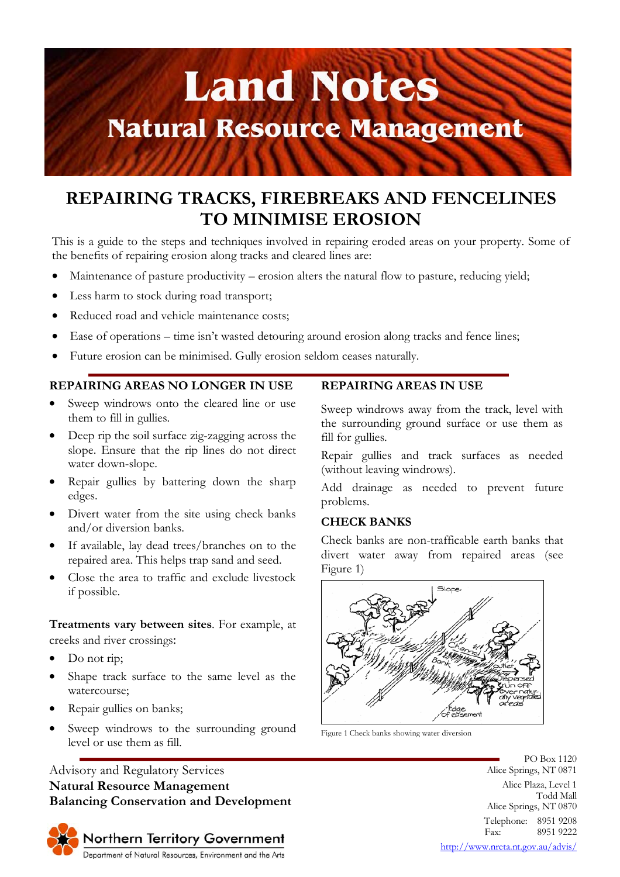

# **REPAIRING TRACKS, FIREBREAKS AND FENCELINES TO MINIMISE EROSION**

This is a guide to the steps and techniques involved in repairing eroded areas on your property. Some of the benefits of repairing erosion along tracks and cleared lines are:

- Maintenance of pasture productivity erosion alters the natural flow to pasture, reducing yield;
- Less harm to stock during road transport;
- Reduced road and vehicle maintenance costs;
- Ease of operations time isn't wasted detouring around erosion along tracks and fence lines;
- Future erosion can be minimised. Gully erosion seldom ceases naturally.

### **REPAIRING AREAS NO LONGER IN USE**

- Sweep windrows onto the cleared line or use them to fill in gullies.
- Deep rip the soil surface zig-zagging across the slope. Ensure that the rip lines do not direct water down-slope.
- Repair gullies by battering down the sharp edges.
- Divert water from the site using check banks and/or diversion banks.
- If available, lay dead trees/branches on to the repaired area. This helps trap sand and seed.
- Close the area to traffic and exclude livestock if possible.

**Treatments vary between sites**. For example, at creeks and river crossings:

- Do not rip;
- Shape track surface to the same level as the watercourse;
- Repair gullies on banks;
- Sweep windrows to the surrounding ground level or use them as fill.

## Advisory and Regulatory Services **Natural Resource Management Balancing Conservation and Development**



#### **REPAIRING AREAS IN USE**

Sweep windrows away from the track, level with the surrounding ground surface or use them as fill for gullies.

Repair gullies and track surfaces as needed (without leaving windrows).

Add drainage as needed to prevent future problems.

#### **CHECK BANKS**

Check banks are non-trafficable earth banks that divert water away from repaired areas (see Figure 1)



Figure 1 Check banks showing water diversion

PO Box 1120 Alice Springs, NT 0871 Alice Plaza, Level 1 Todd Mall Alice Springs, NT 0870 Telephone: 8951 9208 Fax: 8951 9222

http://www.nreta.nt.gov.au/advis/